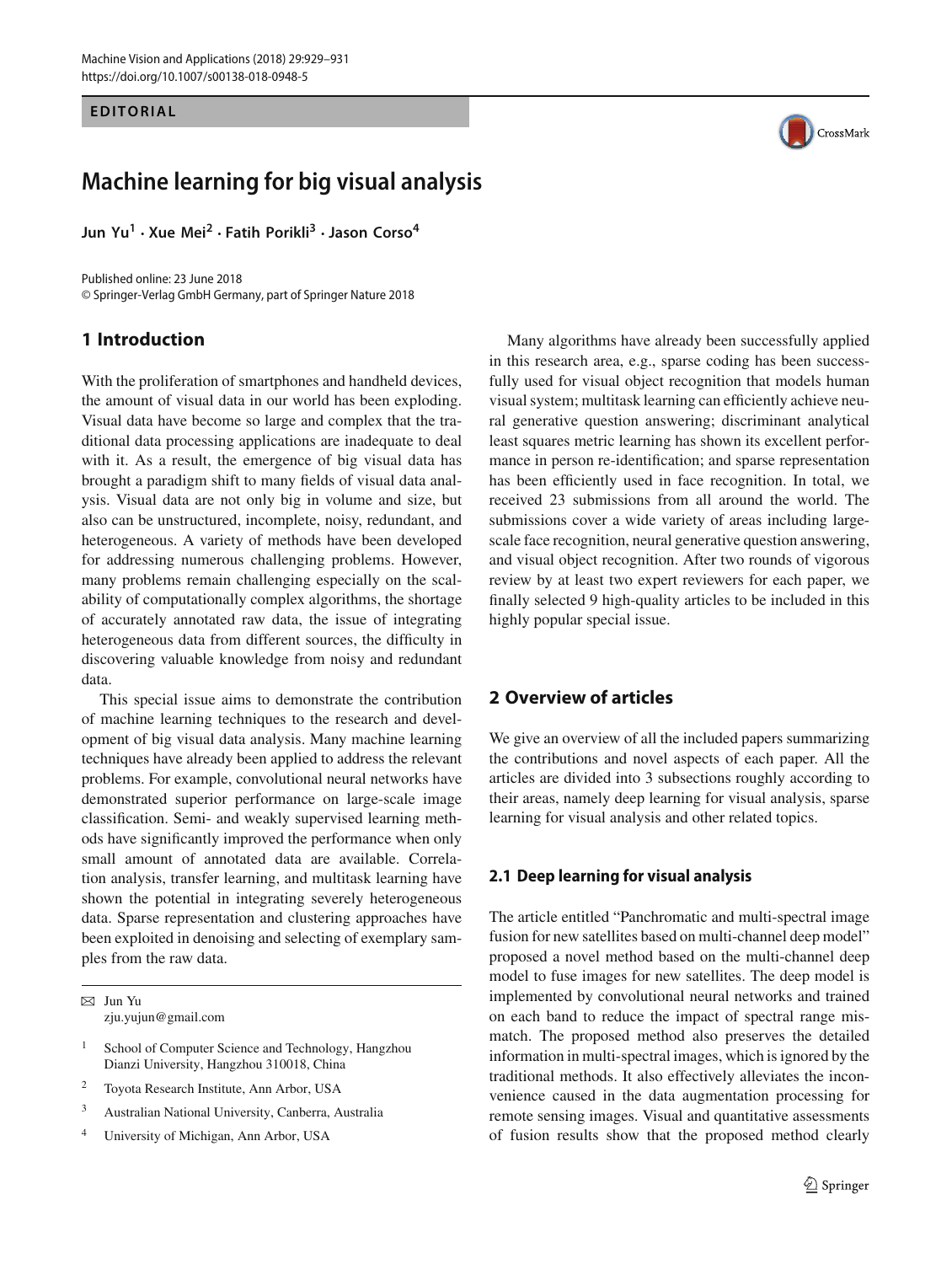#### **EDITORIAL**

# **Machine learning for big visual analysis**

**Jun Yu1 · Xue Mei<sup>2</sup> · Fatih Porikli<sup>3</sup> · Jason Corso<sup>4</sup>**

Published online: 23 June 2018 © Springer-Verlag GmbH Germany, part of Springer Nature 2018

# **1 Introduction**

With the proliferation of smartphones and handheld devices, the amount of visual data in our world has been exploding. Visual data have become so large and complex that the traditional data processing applications are inadequate to deal with it. As a result, the emergence of big visual data has brought a paradigm shift to many fields of visual data analysis. Visual data are not only big in volume and size, but also can be unstructured, incomplete, noisy, redundant, and heterogeneous. A variety of methods have been developed for addressing numerous challenging problems. However, many problems remain challenging especially on the scalability of computationally complex algorithms, the shortage of accurately annotated raw data, the issue of integrating heterogeneous data from different sources, the difficulty in discovering valuable knowledge from noisy and redundant data.

This special issue aims to demonstrate the contribution of machine learning techniques to the research and development of big visual data analysis. Many machine learning techniques have already been applied to address the relevant problems. For example, convolutional neural networks have demonstrated superior performance on large-scale image classification. Semi- and weakly supervised learning methods have significantly improved the performance when only small amount of annotated data are available. Correlation analysis, transfer learning, and multitask learning have shown the potential in integrating severely heterogeneous data. Sparse representation and clustering approaches have been exploited in denoising and selecting of exemplary samples from the raw data.

 $\boxtimes$  Jun Yu zju.yujun@gmail.com

- <sup>1</sup> School of Computer Science and Technology, Hangzhou Dianzi University, Hangzhou 310018, China
- <sup>2</sup> Toyota Research Institute, Ann Arbor, USA
- <sup>3</sup> Australian National University, Canberra, Australia
- <sup>4</sup> University of Michigan, Ann Arbor, USA



Many algorithms have already been successfully applied in this research area, e.g., sparse coding has been successfully used for visual object recognition that models human visual system; multitask learning can efficiently achieve neural generative question answering; discriminant analytical least squares metric learning has shown its excellent performance in person re-identification; and sparse representation has been efficiently used in face recognition. In total, we received 23 submissions from all around the world. The submissions cover a wide variety of areas including largescale face recognition, neural generative question answering, and visual object recognition. After two rounds of vigorous review by at least two expert reviewers for each paper, we finally selected 9 high-quality articles to be included in this highly popular special issue.

# **2 Overview of articles**

We give an overview of all the included papers summarizing the contributions and novel aspects of each paper. All the articles are divided into 3 subsections roughly according to their areas, namely deep learning for visual analysis, sparse learning for visual analysis and other related topics.

## **2.1 Deep learning for visual analysis**

The article entitled "Panchromatic and multi-spectral image fusion for new satellites based on multi-channel deep model" proposed a novel method based on the multi-channel deep model to fuse images for new satellites. The deep model is implemented by convolutional neural networks and trained on each band to reduce the impact of spectral range mismatch. The proposed method also preserves the detailed information in multi-spectral images, which is ignored by the traditional methods. It also effectively alleviates the inconvenience caused in the data augmentation processing for remote sensing images. Visual and quantitative assessments of fusion results show that the proposed method clearly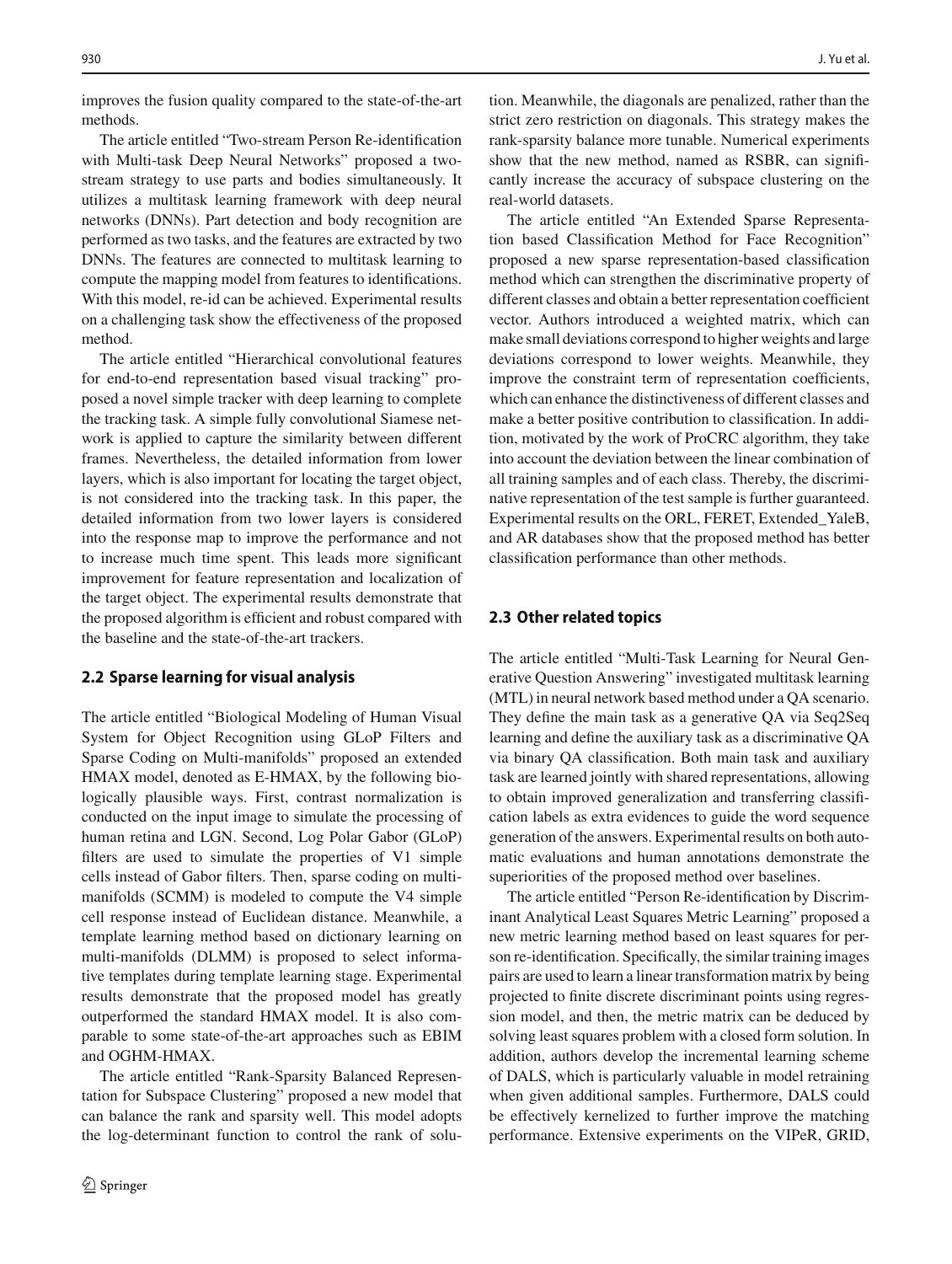improves the fusion quality compared to the state-of-the-art methods.

The article entitled "Two-stream Person Re-identification with Multi-task Deep Neural Networks" proposed a twostream strategy to use parts and bodies simultaneously. It utilizes a multitask learning framework with deep neural networks (DNNs). Part detection and body recognition are performed as two tasks, and the features are extracted by two DNNs. The features are connected to multitask learning to compute the mapping model from features to identifications. With this model, re-id can be achieved. Experimental results on a challenging task show the effectiveness of the proposed method.

The article entitled "Hierarchical convolutional features for end-to-end representation based visual tracking" proposed a novel simple tracker with deep learning to complete the tracking task. A simple fully convolutional Siamese network is applied to capture the similarity between different frames. Nevertheless, the detailed information from lower layers, which is also important for locating the target object, is not considered into the tracking task. In this paper, the detailed information from two lower layers is considered into the response map to improve the performance and not to increase much time spent. This leads more significant improvement for feature representation and localization of the target object. The experimental results demonstrate that the proposed algorithm is efficient and robust compared with the baseline and the state-of-the-art trackers.

#### **2.2 Sparse learning for visual analysis**

The article entitled "Biological Modeling of Human Visual System for Object Recognition using GLoP Filters and Sparse Coding on Multi-manifolds" proposed an extended HMAX model, denoted as E-HMAX, by the following biologically plausible ways. First, contrast normalization is conducted on the input image to simulate the processing of human retina and LGN. Second, Log Polar Gabor (GLoP) filters are used to simulate the properties of V1 simple cells instead of Gabor filters. Then, sparse coding on multimanifolds (SCMM) is modeled to compute the V4 simple cell response instead of Euclidean distance. Meanwhile, a template learning method based on dictionary learning on multi-manifolds (DLMM) is proposed to select informative templates during template learning stage. Experimental results demonstrate that the proposed model has greatly outperformed the standard HMAX model. It is also comparable to some state-of-the-art approaches such as EBIM and OGHM-HMAX.

The article entitled "Rank-Sparsity Balanced Representation for Subspace Clustering" proposed a new model that can balance the rank and sparsity well. This model adopts the log-determinant function to control the rank of solution. Meanwhile, the diagonals are penalized, rather than the strict zero restriction on diagonals. This strategy makes the rank-sparsity balance more tunable. Numerical experiments show that the new method, named as RSBR, can significantly increase the accuracy of subspace clustering on the real-world datasets.

The article entitled "An Extended Sparse Representation based Classification Method for Face Recognition" proposed a new sparse representation-based classification method which can strengthen the discriminative property of different classes and obtain a better representation coefficient vector. Authors introduced a weighted matrix, which can make small deviations correspond to higher weights and large deviations correspond to lower weights. Meanwhile, they improve the constraint term of representation coefficients, which can enhance the distinctiveness of different classes and make a better positive contribution to classification. In addition, motivated by the work of ProCRC algorithm, they take into account the deviation between the linear combination of all training samples and of each class. Thereby, the discriminative representation of the test sample is further guaranteed. Experimental results on the ORL, FERET, Extended\_YaleB, and AR databases show that the proposed method has better classification performance than other methods.

## **2.3 Other related topics**

The article entitled "Multi-Task Learning for Neural Generative Question Answering" investigated multitask learning (MTL) in neural network based method under a QA scenario. They define the main task as a generative QA via Seq2Seq learning and define the auxiliary task as a discriminative QA via binary QA classification. Both main task and auxiliary task are learned jointly with shared representations, allowing to obtain improved generalization and transferring classification labels as extra evidences to guide the word sequence generation of the answers. Experimental results on both automatic evaluations and human annotations demonstrate the superiorities of the proposed method over baselines.

The article entitled "Person Re-identification by Discriminant Analytical Least Squares Metric Learning" proposed a new metric learning method based on least squares for person re-identification. Specifically, the similar training images pairs are used to learn a linear transformation matrix by being projected to finite discrete discriminant points using regression model, and then, the metric matrix can be deduced by solving least squares problem with a closed form solution. In addition, authors develop the incremental learning scheme of DALS, which is particularly valuable in model retraining when given additional samples. Furthermore, DALS could be effectively kernelized to further improve the matching performance. Extensive experiments on the VIPeR, GRID,